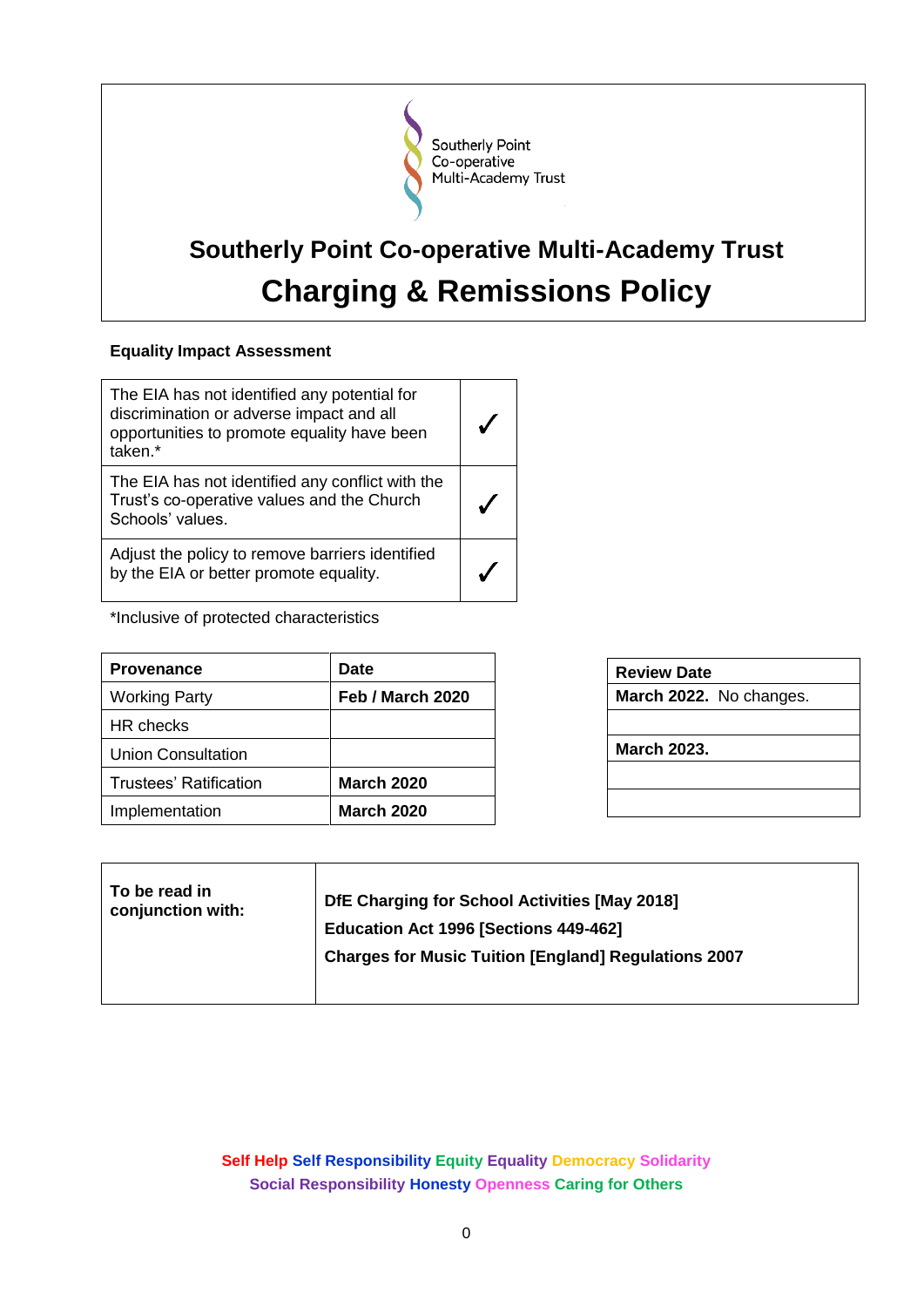

# **Southerly Point Co-operative Multi-Academy Trust Charging & Remissions Policy**

# **Equality Impact Assessment**

| The EIA has not identified any potential for<br>discrimination or adverse impact and all<br>opportunities to promote equality have been<br>taken.* |  |
|----------------------------------------------------------------------------------------------------------------------------------------------------|--|
| The EIA has not identified any conflict with the<br>Trust's co-operative values and the Church<br>Schools' values.                                 |  |
| Adjust the policy to remove barriers identified<br>by the EIA or better promote equality.                                                          |  |

\*Inclusive of protected characteristics

| <b>Provenance</b>      | <b>Date</b>       |
|------------------------|-------------------|
| <b>Working Party</b>   | Feb / March 2020  |
| HR checks              |                   |
| Union Consultation     |                   |
| Trustees' Ratification | <b>March 2020</b> |
| Implementation         | <b>March 2020</b> |

| <b>Review Date</b> |                         |
|--------------------|-------------------------|
|                    | March 2022. No changes. |
|                    |                         |
| <b>March 2023.</b> |                         |
|                    |                         |
|                    |                         |
|                    |                         |

| To be read in     | DfE Charging for School Activities [May 2018]               |
|-------------------|-------------------------------------------------------------|
| conjunction with: | Education Act 1996 [Sections 449-462]                       |
|                   | <b>Charges for Music Tuition [England] Regulations 2007</b> |

**Self Help Self Responsibility Equity Equality Democracy Solidarity Social Responsibility Honesty Openness Caring for Others**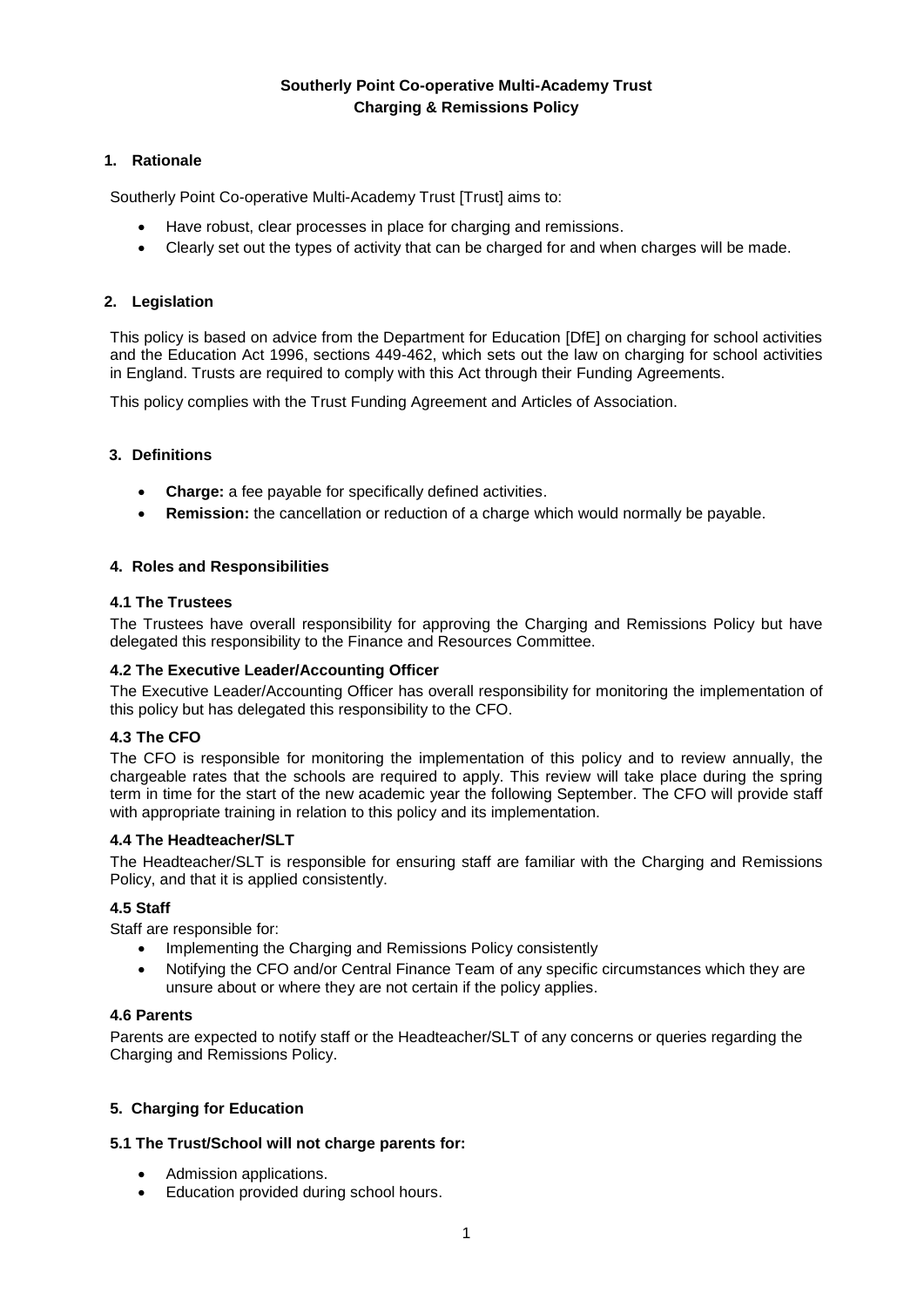# **Southerly Point Co-operative Multi-Academy Trust Charging & Remissions Policy**

# **1. Rationale**

Southerly Point Co-operative Multi-Academy Trust [Trust] aims to:

- Have robust, clear processes in place for charging and remissions.
- Clearly set out the types of activity that can be charged for and when charges will be made.

# **2. Legislation**

This policy is based on advice from the Department for Education [DfE] on charging for school activities and the Education Act 1996, sections 449-462, which sets out the law on charging for school activities in England. Trusts are required to comply with this Act through their Funding Agreements.

This policy complies with the Trust Funding Agreement and Articles of Association.

## **3. Definitions**

- **Charge:** a fee payable for specifically defined activities.
- **Remission:** the cancellation or reduction of a charge which would normally be payable.

## **4. Roles and Responsibilities**

# **4.1 The Trustees**

The Trustees have overall responsibility for approving the Charging and Remissions Policy but have delegated this responsibility to the Finance and Resources Committee.

## **4.2 The Executive Leader/Accounting Officer**

The Executive Leader/Accounting Officer has overall responsibility for monitoring the implementation of this policy but has delegated this responsibility to the CFO.

## **4.3 The CFO**

The CFO is responsible for monitoring the implementation of this policy and to review annually, the chargeable rates that the schools are required to apply. This review will take place during the spring term in time for the start of the new academic year the following September. The CFO will provide staff with appropriate training in relation to this policy and its implementation.

## **4.4 The Headteacher/SLT**

The Headteacher/SLT is responsible for ensuring staff are familiar with the Charging and Remissions Policy, and that it is applied consistently.

# **4.5 Staff**

Staff are responsible for:

- Implementing the Charging and Remissions Policy consistently
- Notifying the CFO and/or Central Finance Team of any specific circumstances which they are unsure about or where they are not certain if the policy applies.

## **4.6 Parents**

Parents are expected to notify staff or the Headteacher/SLT of any concerns or queries regarding the Charging and Remissions Policy.

## **5. Charging for Education**

## **5.1 The Trust/School will not charge parents for:**

- Admission applications.
- Education provided during school hours.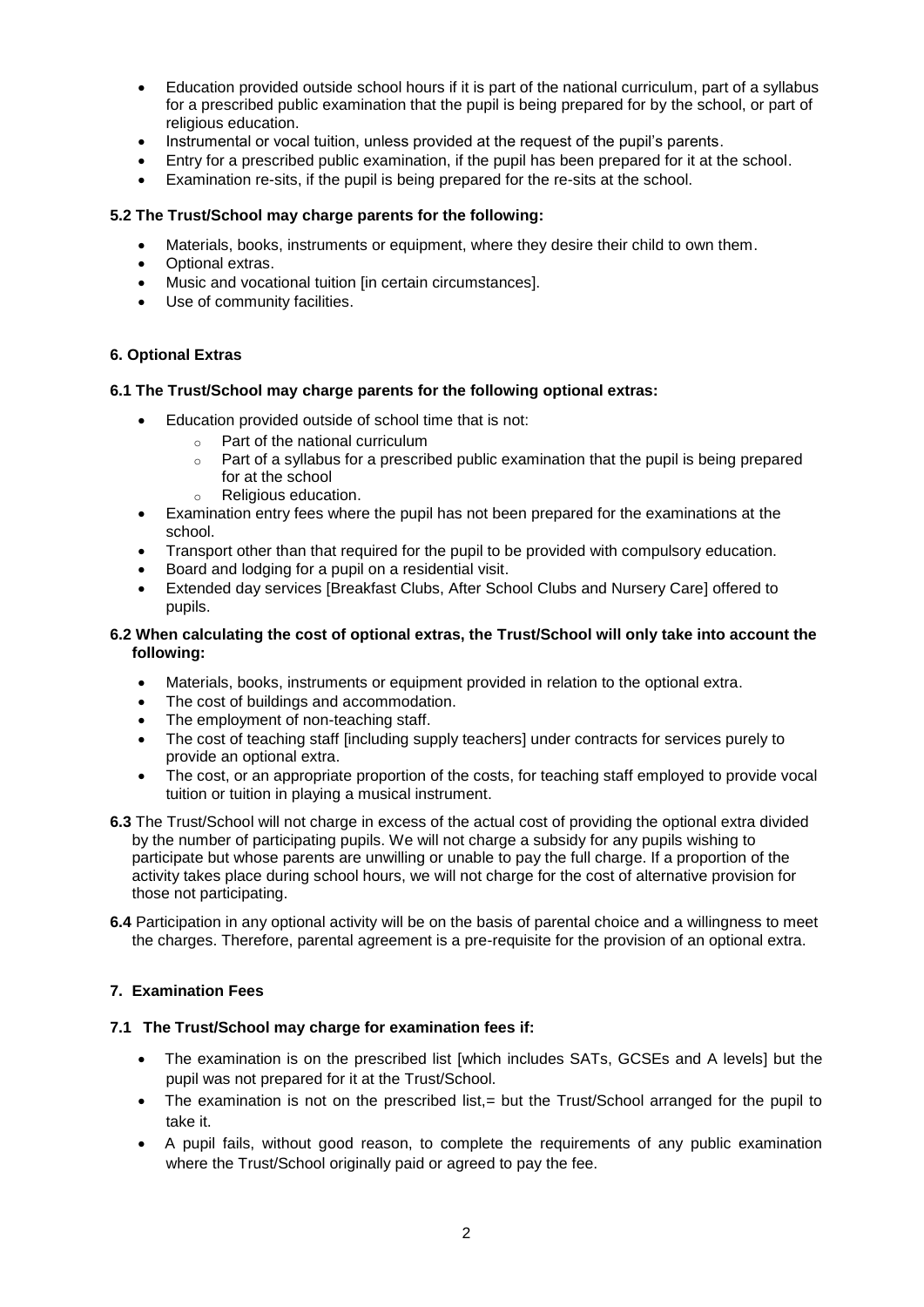- Education provided outside school hours if it is part of the national curriculum, part of a syllabus for a prescribed public examination that the pupil is being prepared for by the school, or part of religious education.
- Instrumental or vocal tuition, unless provided at the request of the pupil's parents.
- Entry for a prescribed public examination, if the pupil has been prepared for it at the school.
- Examination re-sits, if the pupil is being prepared for the re-sits at the school.

#### **5.2 The Trust/School may charge parents for the following:**

- Materials, books, instruments or equipment, where they desire their child to own them.
- [Optional extras.](#page-2-0)
- [Music and vocational tuition \[in certain circumstances\].](#page-3-0)
- Use of community facilities.

#### <span id="page-2-0"></span>**6. Optional Extras**

#### **6.1 The Trust/School may charge parents for the following optional extras:**

- Education provided outside of school time that is not:
	- o Part of the national curriculum
	- $\circ$  Part of a syllabus for a prescribed public examination that the pupil is being prepared for at the school
	- o Religious education.
- Examination entry fees where the pupil has not been prepared for the examinations at the school.
- Transport other than that required for the pupil to be provided with compulsory education.
- Board and lodging for a pupil on a residential visit.
- Extended day services [Breakfast Clubs, After School Clubs and Nursery Care] offered to pupils.

#### **6.2 When calculating the cost of optional extras, the Trust/School will only take into account the following:**

- Materials, books, instruments or equipment provided in relation to the optional extra.
- The cost of buildings and accommodation.
- The employment of non-teaching staff.
- The cost of teaching staff [including supply teachers] under contracts for services purely to provide an optional extra.
- The cost, or an appropriate proportion of the costs, for teaching staff employed to provide vocal tuition or tuition in playing a musical instrument.
- **6.3** The Trust/School will not charge in excess of the actual cost of providing the optional extra divided by the number of participating pupils. We will not charge a subsidy for any pupils wishing to participate but whose parents are unwilling or unable to pay the full charge. If a proportion of the activity takes place during school hours, we will not charge for the cost of alternative provision for those not participating.
- **6.4** Participation in any optional activity will be on the basis of parental choice and a willingness to meet the charges. Therefore, parental agreement is a pre-requisite for the provision of an optional extra.

## **7. Examination Fees**

#### **7.1 The Trust/School may charge for examination fees if:**

- The examination is on the prescribed list [which includes SATs, GCSEs and A levels] but the pupil was not prepared for it at the Trust/School.
- The examination is not on the prescribed list,= but the Trust/School arranged for the pupil to take it.
- A pupil fails, without good reason, to complete the requirements of any public examination where the Trust/School originally paid or agreed to pay the fee.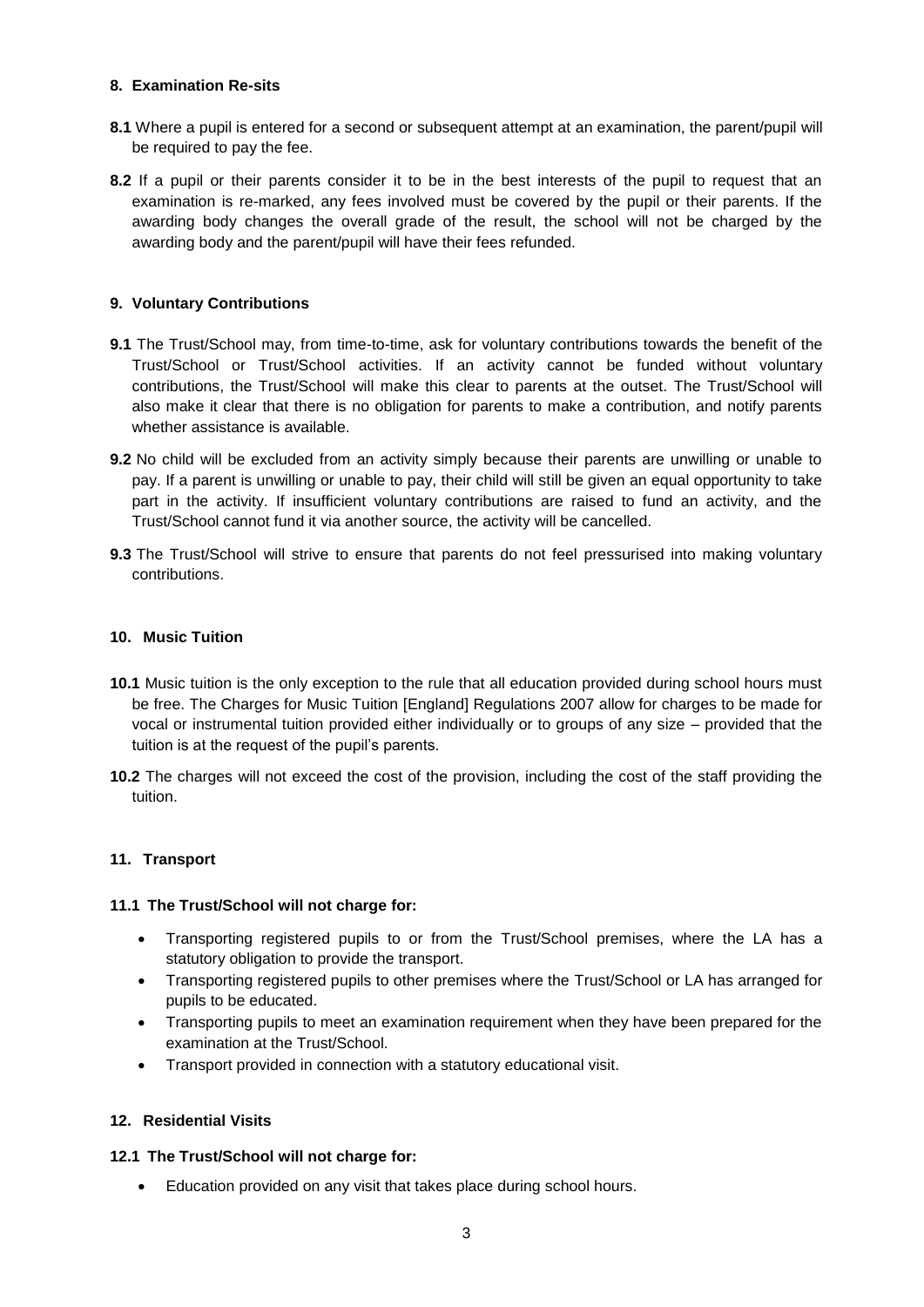## **8. Examination Re-sits**

- **8.1** Where a pupil is entered for a second or subsequent attempt at an examination, the parent/pupil will be required to pay the fee.
- **8.2** If a pupil or their parents consider it to be in the best interests of the pupil to request that an examination is re-marked, any fees involved must be covered by the pupil or their parents. If the awarding body changes the overall grade of the result, the school will not be charged by the awarding body and the parent/pupil will have their fees refunded.

# **9. Voluntary Contributions**

- **9.1** The Trust/School may, from time-to-time, ask for voluntary contributions towards the benefit of the Trust/School or Trust/School activities. If an activity cannot be funded without voluntary contributions, the Trust/School will make this clear to parents at the outset. The Trust/School will also make it clear that there is no obligation for parents to make a contribution, and notify parents whether assistance is available.
- **9.2** No child will be excluded from an activity simply because their parents are unwilling or unable to pay. If a parent is unwilling or unable to pay, their child will still be given an equal opportunity to take part in the activity. If insufficient voluntary contributions are raised to fund an activity, and the Trust/School cannot fund it via another source, the activity will be cancelled.
- **9.3** The Trust/School will strive to ensure that parents do not feel pressurised into making voluntary contributions.

## <span id="page-3-0"></span>**10. Music Tuition**

- **10.1** Music tuition is the only exception to the rule that all education provided during school hours must be free. The Charges for Music Tuition [England] Regulations 2007 allow for charges to be made for vocal or instrumental tuition provided either individually or to groups of any size – provided that the tuition is at the request of the pupil's parents.
- **10.2** The charges will not exceed the cost of the provision, including the cost of the staff providing the tuition.

## **11. Transport**

## **11.1 The Trust/School will not charge for:**

- Transporting registered pupils to or from the Trust/School premises, where the LA has a statutory obligation to provide the transport.
- Transporting registered pupils to other premises where the Trust/School or LA has arranged for pupils to be educated.
- Transporting pupils to meet an examination requirement when they have been prepared for the examination at the Trust/School.
- Transport provided in connection with a statutory educational visit.

## **12. Residential Visits**

## **12.1 The Trust/School will not charge for:**

Education provided on any visit that takes place during school hours.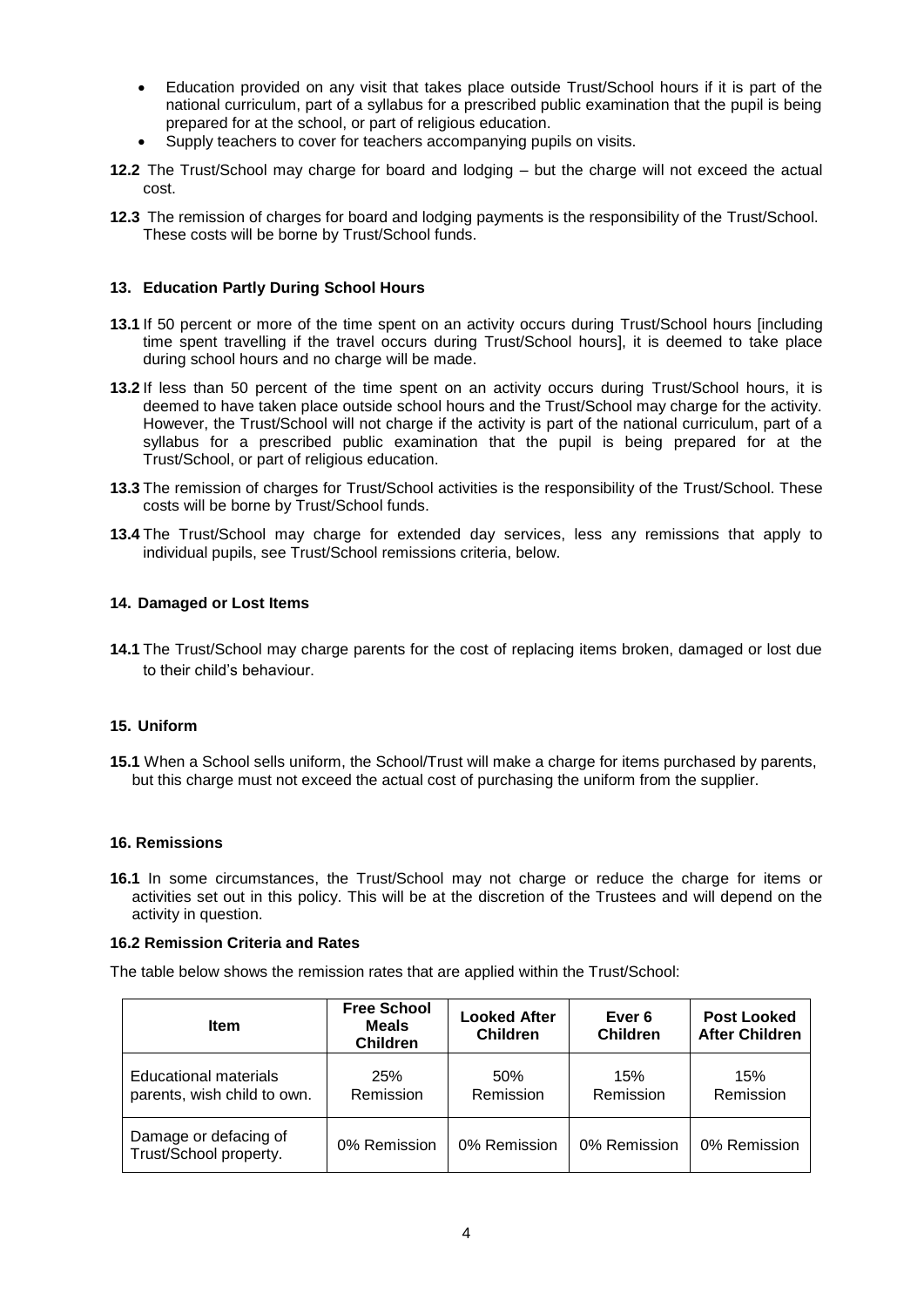- Education provided on any visit that takes place outside Trust/School hours if it is part of the national curriculum, part of a syllabus for a prescribed public examination that the pupil is being prepared for at the school, or part of religious education.
- Supply teachers to cover for teachers accompanying pupils on visits.
- **12.2** The Trust/School may charge for board and lodging but the charge will not exceed the actual cost.
- **12.3** The remission of charges for board and lodging payments is the responsibility of the Trust/School. These costs will be borne by Trust/School funds.

## **13. Education Partly During School Hours**

- **13.1** If 50 percent or more of the time spent on an activity occurs during Trust/School hours [including time spent travelling if the travel occurs during Trust/School hours], it is deemed to take place during school hours and no charge will be made.
- **13.2** If less than 50 percent of the time spent on an activity occurs during Trust/School hours, it is deemed to have taken place outside school hours and the Trust/School may charge for the activity. However, the Trust/School will not charge if the activity is part of the national curriculum, part of a syllabus for a prescribed public examination that the pupil is being prepared for at the Trust/School, or part of religious education.
- **13.3** The remission of charges for Trust/School activities is the responsibility of the Trust/School. These costs will be borne by Trust/School funds.
- **13.4** The Trust/School may charge for extended day services, less any remissions that apply to individual pupils, see Trust/School remissions criteria, below.

#### **14. Damaged or Lost Items**

**14.1** The Trust/School may charge parents for the cost of replacing items broken, damaged or lost due to their child's behaviour.

#### **15. Uniform**

**15.1** When a School sells uniform, the School/Trust will make a charge for items purchased by parents, but this charge must not exceed the actual cost of purchasing the uniform from the supplier.

#### **16. Remissions**

**16.1** In some circumstances, the Trust/School may not charge or reduce the charge for items or activities set out in this policy. This will be at the discretion of the Trustees and will depend on the activity in question.

#### **16.2 Remission Criteria and Rates**

The table below shows the remission rates that are applied within the Trust/School:

| <b>Item</b>                                                 | <b>Free School</b><br><b>Meals</b><br><b>Children</b> | <b>Looked After</b><br><b>Children</b> | Ever 6<br><b>Children</b> | <b>Post Looked</b><br><b>After Children</b> |
|-------------------------------------------------------------|-------------------------------------------------------|----------------------------------------|---------------------------|---------------------------------------------|
| <b>Educational materials</b><br>parents, wish child to own. | 25%<br>Remission                                      | 50%<br>Remission                       | 15%<br>Remission          | 15%<br>Remission                            |
| Damage or defacing of<br>Trust/School property.             | 0% Remission                                          | 0% Remission                           | 0% Remission              | 0% Remission                                |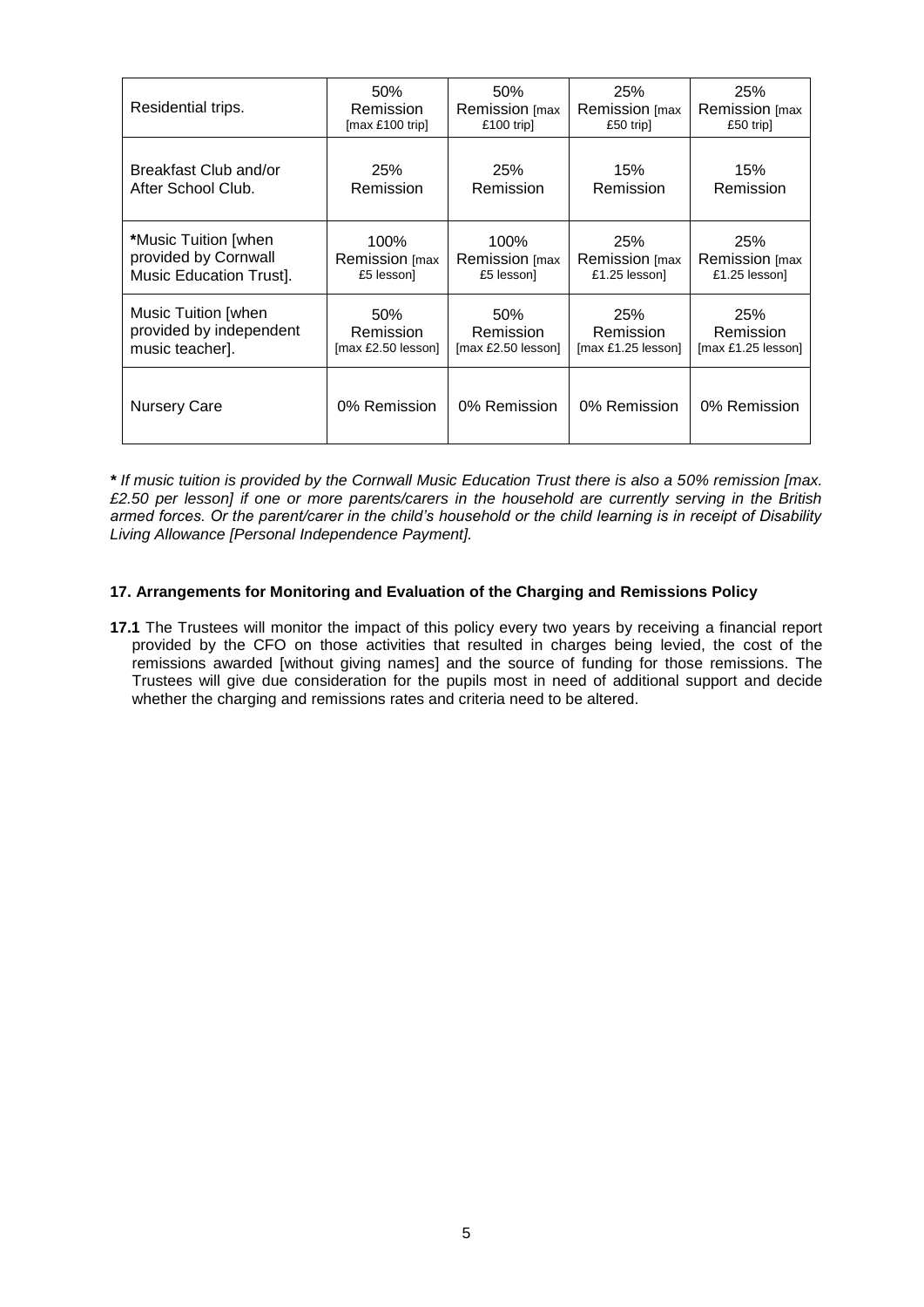| Residential trips.      | 50%                     | 50%                     | 25%                  | 25%                     |
|-------------------------|-------------------------|-------------------------|----------------------|-------------------------|
|                         | Remission               | Remission [max          | Remission [max       | Remission [max          |
|                         | [max £100 trip]         | £100 trip]              | £50 trip]            | £50 trip]               |
| Breakfast Club and/or   | 25%                     | 25%                     | 15%                  | 15%                     |
| After School Club.      | Remission               | Remission               | Remission            | Remission               |
| *Music Tuition [when]   | 100%                    | 100%                    | 25%                  | 25%                     |
| provided by Cornwall    | Remission [max          | Remission [max          | Remission [max       | Remission [max          |
| Music Education Trust]. | £5 lesson]              | £5 lesson]              | £1.25 lesson]        | £1.25 lesson]           |
| Music Tuition [when     | 50%                     | 50%                     | 25%                  | 25%                     |
| provided by independent | Remission               | Remission               | Remission            | Remission               |
| music teacher.          | $[max £2.50$ lesson $]$ | $[max £2.50$ lesson $]$ | $[max £1.25$ lesson] | $[max £1.25$ lesson $]$ |
| Nursery Care            | 0% Remission            | 0% Remission            | 0% Remission         | 0% Remission            |

*\* If music tuition is provided by the Cornwall Music Education Trust there is also a 50% remission [max. £2.50 per lesson] if one or more parents/carers in the household are currently serving in the British armed forces. Or the parent/carer in the child's household or the child learning is in receipt of Disability Living Allowance [Personal Independence Payment].*

## **17. Arrangements for Monitoring and Evaluation of the Charging and Remissions Policy**

**17.1** The Trustees will monitor the impact of this policy every two years by receiving a financial report provided by the CFO on those activities that resulted in charges being levied, the cost of the remissions awarded [without giving names] and the source of funding for those remissions. The Trustees will give due consideration for the pupils most in need of additional support and decide whether the charging and remissions rates and criteria need to be altered.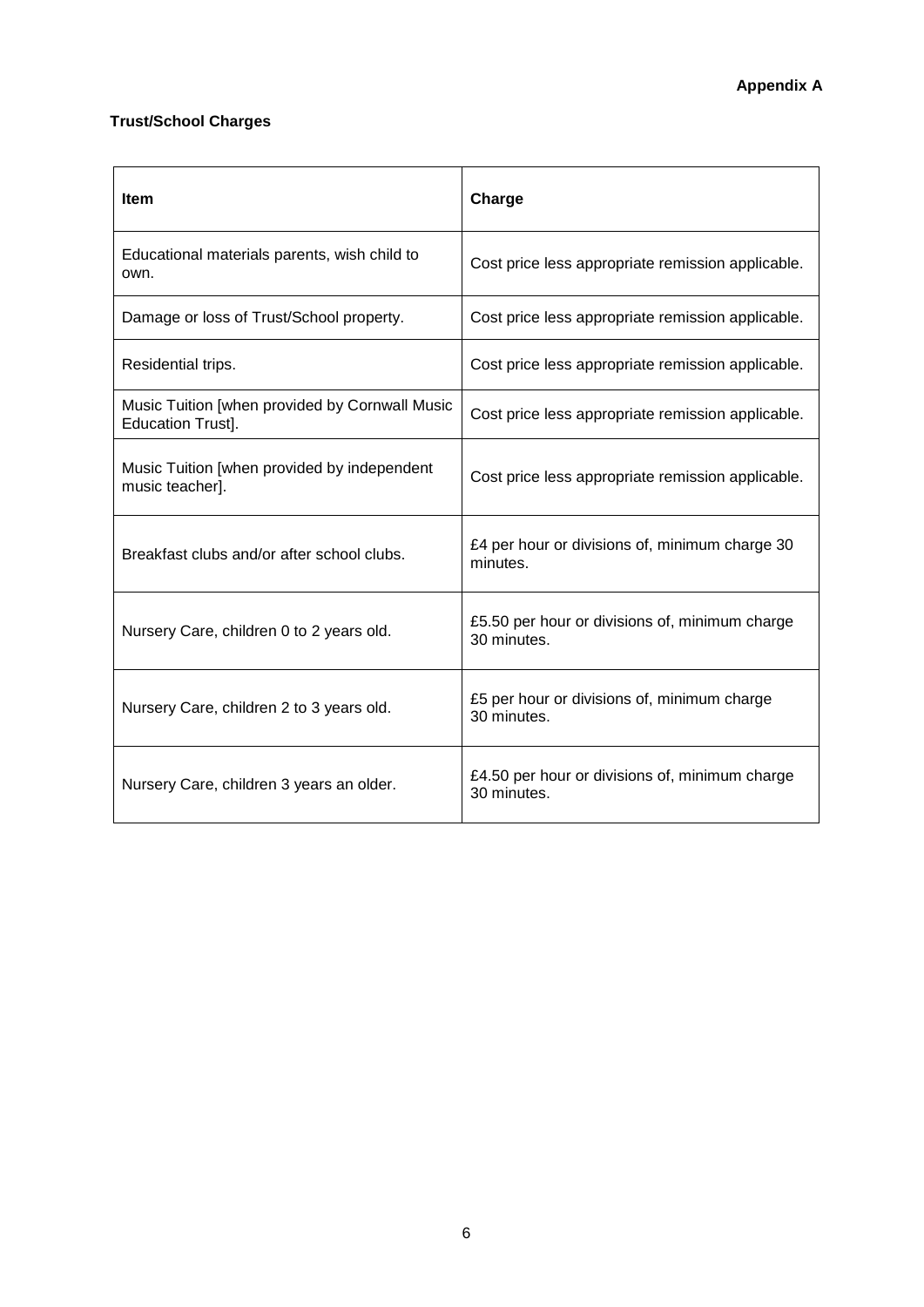# **Trust/School Charges**

| <b>Item</b>                                                         | Charge                                                        |
|---------------------------------------------------------------------|---------------------------------------------------------------|
| Educational materials parents, wish child to<br>own.                | Cost price less appropriate remission applicable.             |
| Damage or loss of Trust/School property.                            | Cost price less appropriate remission applicable.             |
| Residential trips.                                                  | Cost price less appropriate remission applicable.             |
| Music Tuition [when provided by Cornwall Music<br>Education Trust]. | Cost price less appropriate remission applicable.             |
| Music Tuition [when provided by independent<br>music teacher].      | Cost price less appropriate remission applicable.             |
| Breakfast clubs and/or after school clubs.                          | £4 per hour or divisions of, minimum charge 30<br>minutes.    |
| Nursery Care, children 0 to 2 years old.                            | £5.50 per hour or divisions of, minimum charge<br>30 minutes. |
| Nursery Care, children 2 to 3 years old.                            | £5 per hour or divisions of, minimum charge<br>30 minutes.    |
| Nursery Care, children 3 years an older.                            | £4.50 per hour or divisions of, minimum charge<br>30 minutes. |